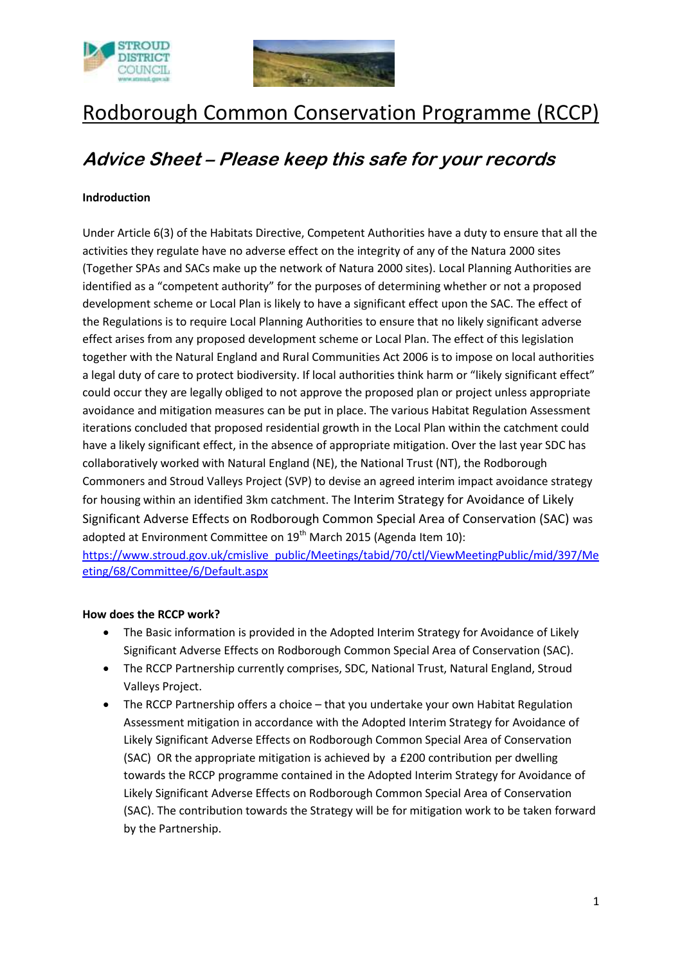



# Rodborough Common Conservation Programme (RCCP)

# **Advice Sheet – Please keep this safe for your records**

## **Indroduction**

Under Article 6(3) of the Habitats Directive, Competent Authorities have a duty to ensure that all the activities they regulate have no adverse effect on the integrity of any of the Natura 2000 sites (Together SPAs and SACs make up the network of Natura 2000 sites). Local Planning Authorities are identified as a "competent authority" for the purposes of determining whether or not a proposed development scheme or Local Plan is likely to have a significant effect upon the SAC. The effect of the Regulations is to require Local Planning Authorities to ensure that no likely significant adverse effect arises from any proposed development scheme or Local Plan. The effect of this legislation together with the Natural England and Rural Communities Act 2006 is to impose on local authorities a legal duty of care to protect biodiversity. If local authorities think harm or "likely significant effect" could occur they are legally obliged to not approve the proposed plan or project unless appropriate avoidance and mitigation measures can be put in place. The various Habitat Regulation Assessment iterations concluded that proposed residential growth in the Local Plan within the catchment could have a likely significant effect, in the absence of appropriate mitigation. Over the last year SDC has collaboratively worked with Natural England (NE), the National Trust (NT), the Rodborough Commoners and Stroud Valleys Project (SVP) to devise an agreed interim impact avoidance strategy for housing within an identified 3km catchment. The Interim Strategy for Avoidance of Likely Significant Adverse Effects on Rodborough Common Special Area of Conservation (SAC) was adopted at Environment Committee on 19<sup>th</sup> March 2015 (Agenda Item 10):

[https://www.stroud.gov.uk/cmislive\\_public/Meetings/tabid/70/ctl/ViewMeetingPublic/mid/397/Me](https://www.stroud.gov.uk/cmislive_public/Meetings/tabid/70/ctl/ViewMeetingPublic/mid/397/Meeting/68/Committee/6/Default.aspx) [eting/68/Committee/6/Default.aspx](https://www.stroud.gov.uk/cmislive_public/Meetings/tabid/70/ctl/ViewMeetingPublic/mid/397/Meeting/68/Committee/6/Default.aspx)

#### **How does the RCCP work?**

- The Basic information is provided in the Adopted Interim Strategy for Avoidance of Likely Significant Adverse Effects on Rodborough Common Special Area of Conservation (SAC).
- The RCCP Partnership currently comprises, SDC, National Trust, Natural England, Stroud Valleys Project.
- The RCCP Partnership offers a choice that you undertake your own Habitat Regulation Assessment mitigation in accordance with the Adopted Interim Strategy for Avoidance of Likely Significant Adverse Effects on Rodborough Common Special Area of Conservation (SAC) OR the appropriate mitigation is achieved by a £200 contribution per dwelling towards the RCCP programme contained in the Adopted Interim Strategy for Avoidance of Likely Significant Adverse Effects on Rodborough Common Special Area of Conservation (SAC). The contribution towards the Strategy will be for mitigation work to be taken forward by the Partnership.